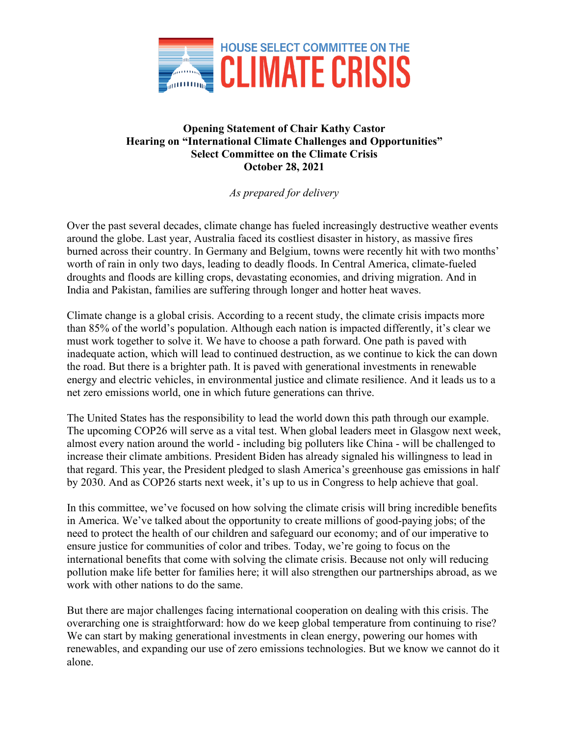

## **Opening Statement of Chair Kathy Castor Hearing on "International Climate Challenges and Opportunities" Select Committee on the Climate Crisis October 28, 2021**

*As prepared for delivery*

Over the past several decades, climate change has fueled increasingly destructive weather events around the globe. Last year, Australia faced its costliest disaster in history, as massive fires burned across their country. In Germany and Belgium, towns were recently hit with two months' worth of rain in only two days, leading to deadly floods. In Central America, climate-fueled droughts and floods are killing crops, devastating economies, and driving migration. And in India and Pakistan, families are suffering through longer and hotter heat waves.

Climate change is a global crisis. According to a recent study, the climate crisis impacts more than 85% of the world's population. Although each nation is impacted differently, it's clear we must work together to solve it. We have to choose a path forward. One path is paved with inadequate action, which will lead to continued destruction, as we continue to kick the can down the road. But there is a brighter path. It is paved with generational investments in renewable energy and electric vehicles, in environmental justice and climate resilience. And it leads us to a net zero emissions world, one in which future generations can thrive.

The United States has the responsibility to lead the world down this path through our example. The upcoming COP26 will serve as a vital test. When global leaders meet in Glasgow next week, almost every nation around the world - including big polluters like China - will be challenged to increase their climate ambitions. President Biden has already signaled his willingness to lead in that regard. This year, the President pledged to slash America's greenhouse gas emissions in half by 2030. And as COP26 starts next week, it's up to us in Congress to help achieve that goal.

In this committee, we've focused on how solving the climate crisis will bring incredible benefits in America. We've talked about the opportunity to create millions of good-paying jobs; of the need to protect the health of our children and safeguard our economy; and of our imperative to ensure justice for communities of color and tribes. Today, we're going to focus on the international benefits that come with solving the climate crisis. Because not only will reducing pollution make life better for families here; it will also strengthen our partnerships abroad, as we work with other nations to do the same.

But there are major challenges facing international cooperation on dealing with this crisis. The overarching one is straightforward: how do we keep global temperature from continuing to rise? We can start by making generational investments in clean energy, powering our homes with renewables, and expanding our use of zero emissions technologies. But we know we cannot do it alone.